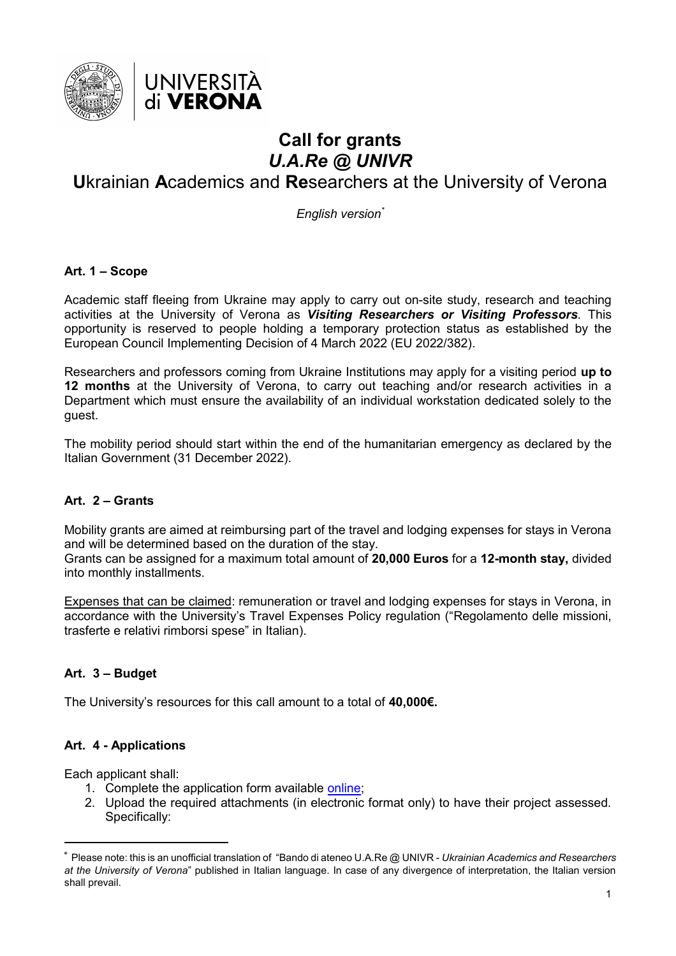

# **Call for grants** *U.A.Re @ UNIVR*

# **U**krainian **A**cademics and **Re**searchers at the University of Verona

*English version\**

# **Art. 1 – Scope**

Academic staff fleeing from Ukraine may apply to carry out on-site study, research and teaching activities at the University of Verona as *Visiting Researchers or Visiting Professors*. This opportunity is reserved to people holding a temporary protection status as established by the European Council Implementing Decision of 4 March 2022 (EU 2022/382).

Researchers and professors coming from Ukraine Institutions may apply for a visiting period **up to 12 months** at the University of Verona, to carry out teaching and/or research activities in a Department which must ensure the availability of an individual workstation dedicated solely to the guest.

The mobility period should start within the end of the humanitarian emergency as declared by the Italian Government (31 December 2022).

# **Art. 2 – Grants**

Mobility grants are aimed at reimbursing part of the travel and lodging expenses for stays in Verona and will be determined based on the duration of the stay. Grants can be assigned for a maximum total amount of **20,000 Euros** for a **12-month stay,** divided

into monthly installments.

Expenses that can be claimed: remuneration or travel and lodging expenses for stays in Verona, in accordance with the University's Travel Expenses Policy regulation ("Regolamento delle missioni, trasferte e relativi rimborsi spese" in Italian).

# **Art. 3 – Budget**

The University's resources for this call amount to a total of **40,000€.** 

# **Art. 4 - Applications**

Each applicant shall:

 $\overline{a}$ 

- 1. Complete the application form available [online;](https://limesurvey.univr.it/index.php/244444?lang=en)
- 2. Upload the required attachments (in electronic format only) to have their project assessed. Specifically:

<sup>\*</sup> Please note: this is an unofficial translation of "Bando di ateneo U.A.Re @ UNIVR - *Ukrainian Academics and Researchers at the University of Verona*" published in Italian language. In case of any divergence of interpretation, the Italian version shall prevail.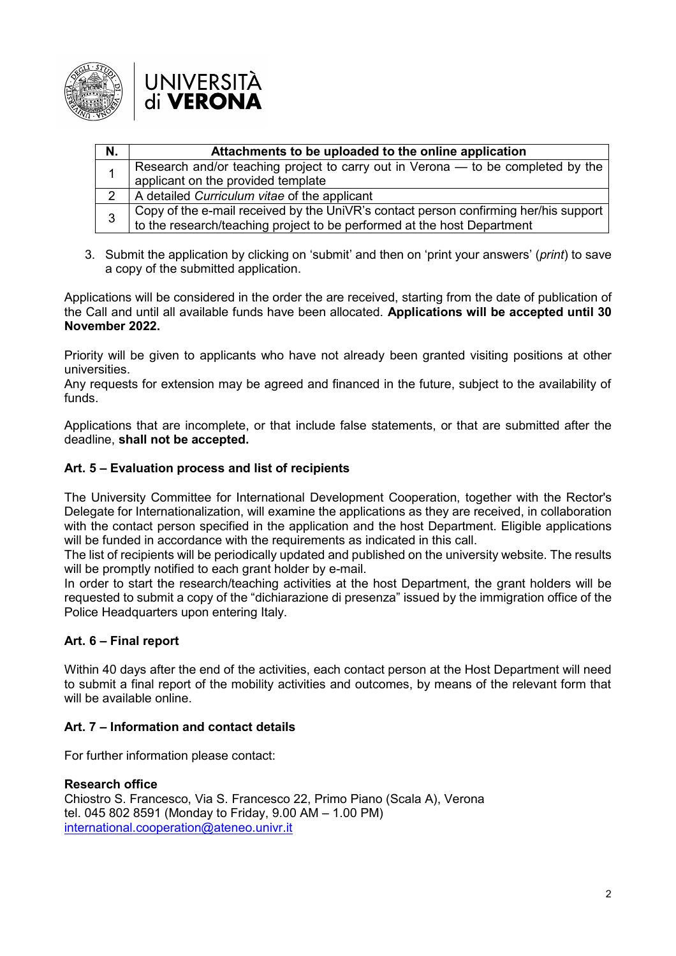

| N.             | Attachments to be uploaded to the online application                                 |
|----------------|--------------------------------------------------------------------------------------|
|                | Research and/or teaching project to carry out in Verona - to be completed by the     |
|                | applicant on the provided template                                                   |
| $\overline{2}$ | A detailed Curriculum vitae of the applicant                                         |
| 3              | Copy of the e-mail received by the UniVR's contact person confirming her/his support |
|                | to the research/teaching project to be performed at the host Department              |

3. Submit the application by clicking on 'submit' and then on 'print your answers' (*print*) to save a copy of the submitted application.

Applications will be considered in the order the are received, starting from the date of publication of the Call and until all available funds have been allocated. **Applications will be accepted until 30 November 2022.**

Priority will be given to applicants who have not already been granted visiting positions at other universities.

Any requests for extension may be agreed and financed in the future, subject to the availability of funds.

Applications that are incomplete, or that include false statements, or that are submitted after the deadline, **shall not be accepted.**

# **Art. 5 – Evaluation process and list of recipients**

The University Committee for International Development Cooperation, together with the Rector's Delegate for Internationalization, will examine the applications as they are received, in collaboration with the contact person specified in the application and the host Department. Eligible applications will be funded in accordance with the requirements as indicated in this call.

The list of recipients will be periodically updated and published on the university website. The results will be promptly notified to each grant holder by e-mail.

In order to start the research/teaching activities at the host Department, the grant holders will be requested to submit a copy of the "dichiarazione di presenza" issued by the immigration office of the Police Headquarters upon entering Italy.

# **Art. 6 – Final report**

Within 40 days after the end of the activities, each contact person at the Host Department will need to submit a final report of the mobility activities and outcomes, by means of the relevant form that will be available online.

# **Art. 7 – Information and contact details**

For further information please contact:

# **Research office**

Chiostro S. Francesco, Via S. Francesco 22, Primo Piano (Scala A), Verona tel. 045 802 8591 (Monday to Friday, 9.00 AM – 1.00 PM) [international.cooperation@ateneo.univr.it](mailto:international.cooperation@ateneo.univr.it)